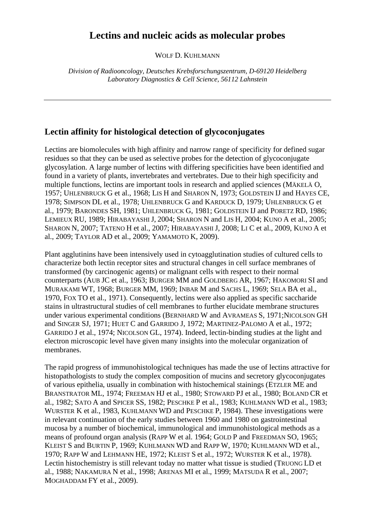## **Lectins and nucleic acids as molecular probes**

WOLF D. KUHLMANN

*Division of Radiooncology, Deutsches Krebsforschungszentrum, D-69120 Heidelberg Laboratory Diagnostics & Cell Science, 56112 Lahnstein*

## **Lectin affinity for histological detection of glycoconjugates**

Lectins are biomolecules with high affinity and narrow range of specificity for defined sugar residues so that they can be used as selective probes for the detection of glycoconjugate glycosylation. A large number of lectins with differing specificities have been identified and found in a variety of plants, invertebrates and vertebrates. Due to their high specificity and multiple functions, lectins are important tools in research and applied sciences (MÄKELÄ O, 1957; UHLENBRUCK G et al., 1968; LIS H and SHARON N, 1973; GOLDSTEIN IJ and HAYES CE, 1978; SIMPSON DL et al., 1978; UHLENBRUCK G and KARDUCK D, 1979; UHLENBRUCK G et al., 1979; BARONDES SH, 1981; UHLENBRUCK G, 1981; GOLDSTEIN IJ and PORETZ RD, 1986; LEMIEUX RU, 1989; HIRABAYASHI J, 2004; SHARON N and LIS H, 2004; KUNO A et al., 2005; SHARON N, 2007; TATENO H et al., 2007; HIRABAYASHI J, 2008; LI C et al., 2009, KUNO A et al., 2009; TAYLOR AD et al., 2009; YAMAMOTO K, 2009).

Plant agglutinins have been intensively used in cytoagglutination studies of cultured cells to characterize both lectin receptor sites and structural changes in cell surface membranes of transformed (by carcinogenic agents) or malignant cells with respect to their normal counterparts (AUB JC et al., 1963; BURGER MM and GOLDBERG AR, 1967; HAKOMORI SI and MURAKAMI WT, 1968; BURGER MM, 1969; INBAR M and SACHS L, 1969; SELA BA et al., 1970, FOX TO et al., 1971). Consequently, lectins were also applied as specific saccharide stains in ultrastructural studies of cell membranes to further elucidate membrane structures under various experimental conditions (BERNHARD W and AVRAMEAS S, 1971;NICOLSON GH and SINGER SJ, 1971; HUET C and GARRIDO J, 1972; MARTINEZ-PALOMO A et al., 1972; GARRIDO J et al., 1974; NICOLSON GL, 1974). Indeed, lectin-binding studies at the light and electron microscopic level have given many insights into the molecular organization of membranes.

The rapid progress of immunohistological techniques has made the use of lectins attractive for histopathologists to study the complex composition of mucins and secretory glycoconjugates of various epithelia, usually in combination with histochemical stainings (ETZLER ME and BRANSTRATOR ML, 1974; FREEMAN HJ et al., 1980; STOWARD PJ et al., 1980; BOLAND CR et al., 1982; SATO A and SPICER SS, 1982; PESCHKE P et al., 1983; KUHLMANN WD et al., 1983; WURSTER K et al., 1983, KUHLMANN WD and PESCHKE P, 1984). These investigations were in relevant continuation of the early studies between 1960 and 1980 on gastrointestinal mucosa by a number of biochemical, immunological and immunohistological methods as a means of profound organ analysis (RAPP W et al. 1964; GOLD P and FREEDMAN SO, 1965; KLEIST S and BURTIN P, 1969; KUHLMANN WD and RAPP W, 1970; KUHLMANN WD et al., 1970; RAPP W and LEHMANN HE, 1972; KLEIST S et al., 1972; WURSTER K et al., 1978). Lectin histochemistry is still relevant today no matter what tissue is studied (TRUONG LD et al., 1988; NAKAMURA N et al., 1998; ARENAS MI et al., 1999; MATSUDA R et al., 2007; MOGHADDAM FY et al., 2009).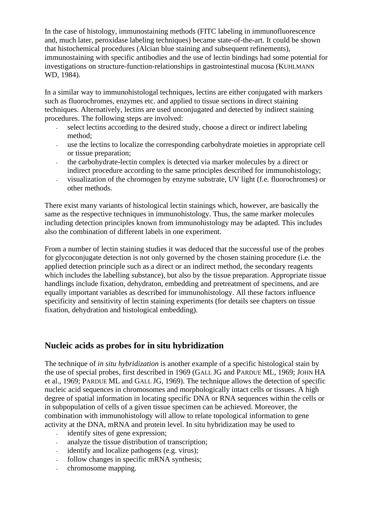In the case of histology, immunostaining methods (FITC labeling in immunofluorescence and, much later, peroxidase labeling techniques) became state-of-the-art. It could be shown that histochemical procedures (Alcian blue staining and subsequent refinements), immunostaining with specific antibodies and the use of lectin bindings had some potential for investigations on structure-function-relationships in gastrointestinal mucosa (KUHLMANN WD, 1984).

In a similar way to immunohistologal techniques, lectins are either conjugated with markers such as fluorochromes, enzymes etc. and applied to tissue sections in direct staining techniques. Alternatively, lectins are used unconjugated and detected by indirect staining procedures. The following steps are involved:

- select lectins according to the desired study, choose a direct or indirect labeling method;
- use the lectins to localize the corresponding carbohydrate moieties in appropriate cell or tissue preparation;
- the carbohydrate-lectin complex is detected via marker molecules by a direct or indirect procedure according to the same principles described for immunohistology;
- visualization of the chromogen by enzyme substrate, UV light (f.e. fluorochromes) or other methods.

There exist many variants of histological lectin stainings which, however, are basically the same as the respective techniques in immunohistology. Thus, the same marker molecules including detection principles known from immunohistology may be adapted. This includes also the combination of different labels in one experiment.

From a number of lectin staining studies it was deduced that the successful use of the probes for glycoconjugate detection is not only governed by the chosen staining procedure (i.e. the applied detection principle such as a direct or an indirect method, the secondary reagents which includes the labelling substance), but also by the tissue preparation. Appropriate tissue handlings include fixation, dehydraton, embedding and pretreatment of specimens, and are equally important variables as described for immunohistology. All these factors influence specificity and sensitivity of lectin staining experiments (for details see chapters on tissue fixation, dehydration and histological embedding).

## **Nucleic acids as probes for in situ hybridization**

The technique of *in situ hybridization* is another example of a specific histological stain by the use of special probes, first described in 1969 (GALL JG and PARDUE ML, 1969; JOHN HA et al., 1969; PARDUE ML and GALL JG, 1969). The technique allows the detection of specific nucleic acid sequences in chromosomes and morphologically intact cells or tissues. A high degree of spatial information in locating specific DNA or RNA sequences within the cells or in subpopulation of cells of a given tissue specimen can be achieved. Moreover, the combination with immunohistology will allow to relate topological information to gene activity at the DNA, mRNA and protein level. In situ hybridization may be used to

- identify sites of gene expression;
- analyze the tissue distribution of transcription;
- identify and localize pathogens (e.g. virus);
- follow changes in specific mRNA synthesis;
- chromosome mapping.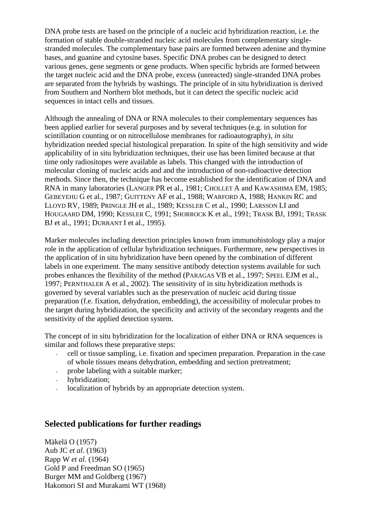DNA probe tests are based on the principle of a nucleic acid hybridization reaction, i.e. the formation of stable double-stranded nucleic acid molecules from complementary singlestranded molecules. The complementary base pairs are formed between adenine and thymine bases, and guanine and cytosine bases. Specific DNA probes can be designed to detect various genes, gene segments or gene products. When specific hybrids are formed between the target nucleic acid and the DNA probe, excess (unreacted) single-stranded DNA probes are separated from the hybrids by washings. The principle of in situ hybridization is derived from Southern and Northern blot methods, but it can detect the specific nucleic acid sequences in intact cells and tissues.

Although the annealing of DNA or RNA molecules to their complementary sequences has been applied earlier for several purposes and by several techniques (e.g. in solution for scintillation counting or on nitrocellulose membranes for radioautography), *in situ* hybridization needed special histological preparation. In spite of the high sensitivity and wide applicability of in situ hybridization techniques, their use has been limited because at that time only radiositopes were available as labels. This changed with the introduction of molecular cloning of nucleic acids and and the introduction of non-radioactive detection methods. Since then, the technique has become established for the identification of DNA and RNA in many laboratories (LANGER PR et al., 1981; CHOLLET A and KAWASHIMA EM, 1985; GEBEYEHU G et al., 1987; GUITTENY AF et al., 1988; WARFORD A, 1988; HANKIN RC and LLOYD RV, 1989; PRINGLE JH et al., 1989; KESSLER C et al., 1990; LARSSON LI and HOUGAARD DM, 1990; KESSLER C, 1991; SHORROCK K et al., 1991; TRASK BJ, 1991; TRASK BJ et al., 1991; DURRANT I et al., 1995).

Marker molecules including detection principles known from immunohistology play a major role in the application of cellular hybridization techniques. Furthermore, new perspectives in the application of in situ hybridization have been opened by the combination of different labels in one experiment. The many sensitive antibody detection systems available for such probes enhances the flexibility of the method (PARAGAS VB et al., 1997; SPEEL EJM et al., 1997; PERNTHALER A et al., 2002). The sensitivity of in situ hybridization methods is governed by several variables such as the preservation of nucleic acid during tissue preparation (f.e. fixation, dehydration, embedding), the accessibility of molecular probes to the target during hybridization, the specificity and activity of the secondary reagents and the sensitivity of the applied detection system.

The concept of in situ hybridization for the localization of either DNA or RNA sequences is similar and follows these preparative steps:

- cell or tissue sampling, i.e. fixation and specimen preparation. Preparation in the case of whole tissues means dehydration, embedding and section pretreatment;
- probe labeling with a suitable marker;
- hybridization;
- localization of hybrids by an appropriate detection system.

## **Selected publications for further readings**

Mäkelä O (1957) Aub JC *et al*. (1963) Rapp W *et al*. (1964) Gold P and Freedman SO (1965) Burger MM and Goldberg (1967) Hakomori SI and Murakami WT (1968)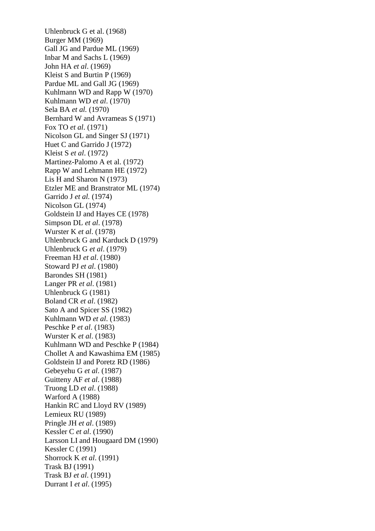Uhlenbruck G et al. (1968) Burger MM (1969) Gall JG and Pardue ML (1969) Inbar M and Sachs L (1969) John HA *et al*. (1969) Kleist S and Burtin P (1969) Pardue ML and Gall JG (1969) Kuhlmann WD and Rapp W (1970) Kuhlmann WD *et al*. (1970) Sela BA *et al.* (1970) Bernhard W and Avrameas S (1971) Fox TO *et al*. (1971) Nicolson GL and Singer SJ (1971) Huet C and Garrido J (1972) Kleist S *et al*. (1972) Martinez-Palomo A et al. (1972) Rapp W and Lehmann HE (1972) Lis H and Sharon N (1973) Etzler ME and Branstrator ML (1974) Garrido J *et al.* (1974) Nicolson GL (1974) Goldstein IJ and Hayes CE (1978) Simpson DL *et al*. (1978) Wurster K *et al*. (1978) Uhlenbruck G and Karduck D (1979) Uhlenbruck G *et al*. (1979) Freeman HJ *et al*. (1980) Stoward PJ *et al*. (1980) Barondes SH (1981) Langer PR *et al*. (1981) Uhlenbruck G (1981) Boland CR *et al*. (1982) Sato A and Spicer SS (1982) Kuhlmann WD *et al*. (1983) Peschke P *et al*. (1983) Wurster K *et al*. (1983) Kuhlmann WD and Peschke P (1984) Chollet A and Kawashima EM (1985) Goldstein IJ and Poretz RD (1986) Gebeyehu G *et al*. (1987) Guitteny AF *et al*. (1988) Truong LD *et al*. (1988) Warford A (1988) Hankin RC and Lloyd RV (1989) Lemieux RU (1989) Pringle JH *et al*. (1989) Kessler C *et al*. (1990) Larsson LI and Hougaard DM (1990) Kessler C (1991) Shorrock K *et al*. (1991) Trask BJ (1991) Trask BJ *et al*. (1991) Durrant I *et al*. (1995)